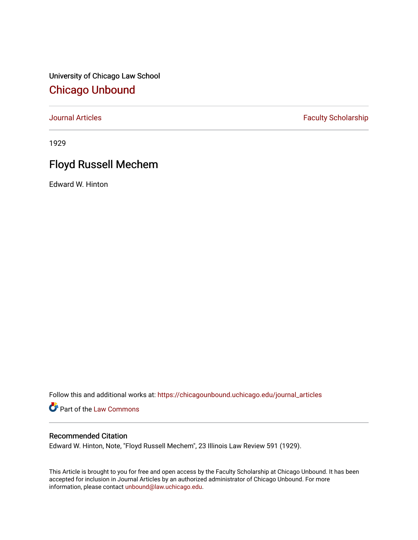University of Chicago Law School [Chicago Unbound](https://chicagounbound.uchicago.edu/)

[Journal Articles](https://chicagounbound.uchicago.edu/journal_articles) **Faculty Scholarship Faculty Scholarship** 

1929

# Floyd Russell Mechem

Edward W. Hinton

Follow this and additional works at: [https://chicagounbound.uchicago.edu/journal\\_articles](https://chicagounbound.uchicago.edu/journal_articles?utm_source=chicagounbound.uchicago.edu%2Fjournal_articles%2F9123&utm_medium=PDF&utm_campaign=PDFCoverPages) 

Part of the [Law Commons](http://network.bepress.com/hgg/discipline/578?utm_source=chicagounbound.uchicago.edu%2Fjournal_articles%2F9123&utm_medium=PDF&utm_campaign=PDFCoverPages)

## Recommended Citation

Edward W. Hinton, Note, "Floyd Russell Mechem", 23 Illinois Law Review 591 (1929).

This Article is brought to you for free and open access by the Faculty Scholarship at Chicago Unbound. It has been accepted for inclusion in Journal Articles by an authorized administrator of Chicago Unbound. For more information, please contact [unbound@law.uchicago.edu](mailto:unbound@law.uchicago.edu).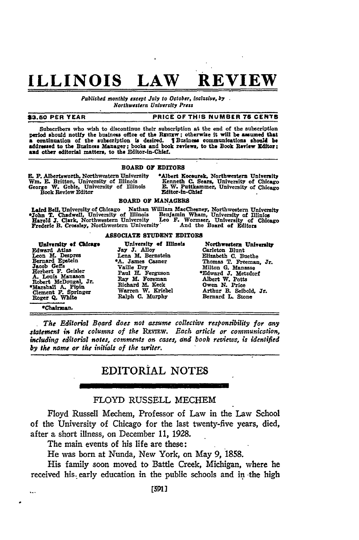# **ILLINOIS LAW REVIEW**

*Published monthly except July to October, inclusive, by Northwestern University Press*

#### **\$3.50 PER YEAR PRICE OF THIS NUMBER 76 CENTS**

Subscribers who wish to discontinue their subscription at the end of the subscription period should notify the business office of the REVIEW; otherwise it will be assumed that **perlod** should notify the business office **of** the RNVIw; otherwise it will **be** assumed that **<sup>a</sup>**continuation of the subscription is desired. **I** Business communications **should be addressed to the Business Manager; books and book reviews, to the** Book Review Editor: **and** other editorial matters, to **the** Editor-in-Chief.

### **BOARD OF EDITORS**

E. F. Albertsworth, Northwestern University \*Albert Kocourek, Northwestern University Wm. E. Britton, University of Illinois Kenneth C. Sears, University of Chicago (George W. Goble, University of Illinois E. W. Puttkammer

#### BOARD OF **MANAGERS**

Laird Bell, University of Chicago Nathan William MacChesney, Northwestern University of Illinois<br>John T. Chadwell, University of Illinois Benjamin Wham, University of Illinios<br>Harold J. Clark, Northwestern University Leo F

#### **ASSOCIATE STUDENT EDITORS**

**University of Chicage Chiversity of Illinois Morthwestern University**<br>Iward Atlas Say J. Alloy Carleton Blunt Edward Atlas Jay J. Alloy Leon M. Despres Lena M. Bernstein<br>Bernard Epstein \*A. James Casner Leon **M.** Despres Lena **M.** Bernstein Elizabeth **C.** Buethe Bernard Epstein **\*A.** James Casner Thomas T. Freeman, Jr. Jacob Geffs **Vaille Dry Milton C. Manasse**<br>Herbert F. Geisler Paul H. Ferguson \*Edward J. Metzdor:<br>A. Louis Manason Ray M. Foreman Albert W. Potts Robert McDougal, Jr. Ray M. Foreman **Albert W. Potts**<br> **Clement A. Pipin Richard M. Keck Owen N. Price**<br> **Clement B. Selbold, Jr. 2008** 

 $\ddot{\phantom{a}}$ 

Roger **Q.** White **Ralph C. Murphy** Bernard **L.** Stone

**VChairuan.** *The Editorial Board does not assume collective responsibility for any statement in the columns of the* REvIEw. *Each article or communication, including editorial notes, comments on cases, and book reviews, is identified*

# EDITORIAL **NOTES**

### FLOYD RUSSELL MECHEM

Floyd Russell Mechem, Professor of Law in the Law School of the University of Chicago for the last twenty-five years, died, after a short illness, on December **11, 1928.**

The main events of his life are these:

*by the name or the initials of the writer.*

He was born at Nunda, New York, on May 9, **1858.**

His family soon moved to Battle Creek, Michigan, where he received his. early education in the public schools and in -the high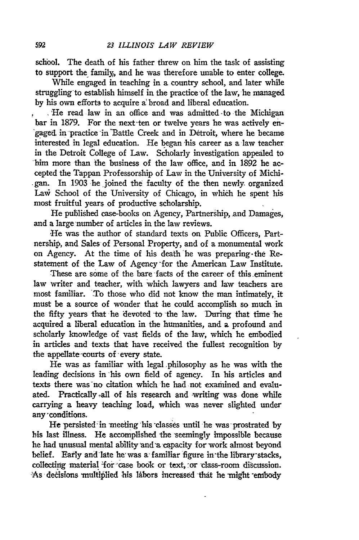school. The death of his father threw on him the task of assisting to support the family, and he was therefore unable to enter college.

While engaged in teaching in a country school, and later while struggling-to establish himself in the practice of the law, he managed by his own efforts to acquire a broad and liberal education.

**I** He read law in an office and was admitted -to the Michigan bar in 1879. For the next-ten or twelve years he was actively en- 'gaged in practice in'Battle Creek and in Detroit, where he became interested in legal education. He began his career as a law teacher in the Detroit College of Law. Scholarly investigation appealed to him more than the business of the law office, and in 1892 he accepted the Tappan Professorship of Law in the University of Michi- .gan. In 1903 -he joined the faculty of the then newly organized LaW School of the University of Chicago, in which he spent his most fruitful years of productive scholarship.

**He** published case-books on Agency, Partnership, and Damages, and a large number of articles in the law reviews.

-He was the author of standard texts on Public Officers, Partnership, and Sales of Personal Property, and of a monumental work on Agency. At the time of his death he was preparing-the Restatement of the Law of Agency -for the American Law Institute.

These are some of the bare facts of the career of this eminent law writer and teacher, with which lawyers and law teachers are most familiar. To those who did not know the man intimately, it must be a source of wonder that he could accomplish so much in the fifty years that he devoted to the law. During that time he acquired a liberal education in the humanities, and **a** profound and scholarly knowledge of vast fields of the law, which he embodied in articles and texts that have received the fullest recognition by the appellate courts of every state.

He was as familiar with legal, philosophy as he was with the leading decisions in his own field of agency. In his articles and texts there was no citation which he had not examined and evaluated. Practically all of his research and writing was done while carrying a heavy teaching load, which was never slighted under any -conditions.

He persisted in meeting his classes until he was prostrated by bis last illness. He accomplished the seemingly impossible because he had unusual mental ability and a capacity for work almost beyond belief. Early and late he was a familiar figure in the library stacks, collecting material for case book or text, or class-room discussion. As decisions multiplied his labors increased that he might embody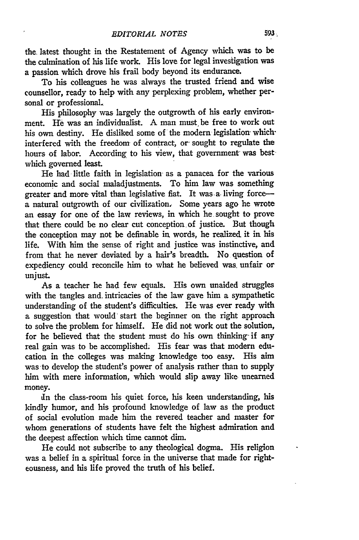the, latest thought in the Restatement of Agency which was to be the culmination of his life work. His love for legal investigation was a passion which drove his frail body beyond its endurance.

To his colleagues he was always the trusted friend and wise counsellor, ready to help with any perplexing problem, whether personal or professional.

His philosophy was largely the outgrowth of his early environment. He was an individualist. A man must be free to work out his own destiny. He disliked some of the modern legislation whichinterfered with the freedom- of contract, *or-* sought to regulate the hours of labor. According to his view, that government was best which governed least.

He had little faith in legislation, as a panacea for the various economic and social maladjustments. To him law was something greater and more vital than legislative fiat. It was a living forcea natural outgrowth of our civilization, Some years ago he wrote an essay for one of the law reviews, in which he sought to prove that there could be no clear cut conception of justice. But though the conception may not be definable in words, he realized it in his life. With him the sense of right and justice was instinctive, and from that he never deviated by a hair's breadth. No question of expediency could reconcile him to what he believed was, unfair or unjust.

As a teacher he had few equals. His own unaided struggles with the tangles and. intricacies of the law gave him a sympathetic understanding of the student's difficulties. He was ever ready with a suggestion that would" start the beginner on the right approach to solve the problem for himself. He did not work out the solution, for he believed that the student must do his own thinking- if any real gain was to be accomplished. His fear was that modern education in the colleges was making knowledge too easy. His aim was to develop the student's power of analysis rather than to supply him with mere information, which would slip away like unearned money.

In the class-room his quiet force, his keen understanding, his kindly humor, and his profound knowledge of law as the product of social evolution made him the revered teacher and master for whom generations of students have felt the highest admiration and the deepest affection which time cannot dim.

He could not subscribe to any theological dogma. His religion was a belief in a spiritual force in the universe that made for righteousness, and his life proved the truth of his belief.